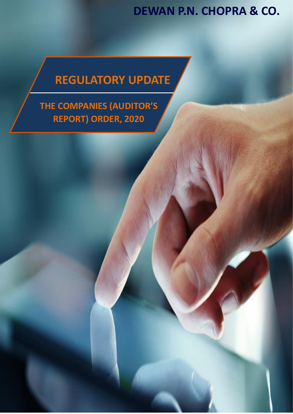# **REGULATORY UPDATE**

**THE COMPANIES (AUDITOR'S REPORT) ORDER, 2020**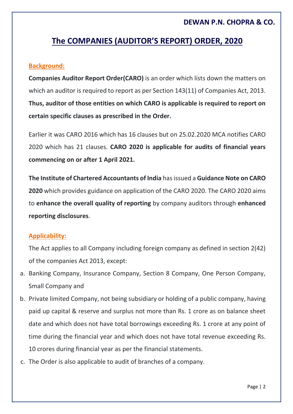## **The COMPANIES (AUDITOR'S REPORT) ORDER, 2020**

#### **Background:**

**Companies Auditor Report Order(CARO)** is an order which lists down the matters on which an auditor is required to report as per Section 143(11) of Companies Act, 2013. **Thus, auditor of those entities on which CARO is applicable is required to report on certain specific clauses as prescribed in the Order.** 

Earlier it was CARO 2016 which has 16 clauses but on 25.02.2020 MCA notifies CARO 2020 which has 21 clauses. **CARO 2020 is applicable for audits of financial years commencing on or after 1 April 2021.**

**The Institute of Chartered Accountants of India** has issued a **Guidance Note on CARO 2020** which provides guidance on application of the CARO 2020. The CARO 2020 aims to **enhance the overall quality of reporting** by company auditors through **enhanced reporting disclosures**.

#### **Applicability:**

The Act applies to all Company including foreign company as defined in section 2(42) of the companies Act 2013, except:

- a. Banking Company, Insurance Company, Section 8 Company, One Person Company, Small Company and
- b. Private limited Company, not being subsidiary or holding of a public company, having paid up capital & reserve and surplus not more than Rs. 1 crore as on balance sheet date and which does not have total borrowings exceeding Rs. 1 crore at any point of time during the financial year and which does not have total revenue exceeding Rs. 10 crores during financial year as per the financial statements.
- c. The Order is also applicable to audit of branches of a company.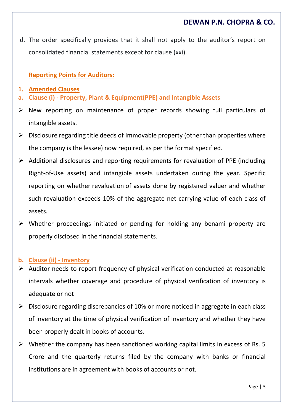d. The order specifically provides that it shall not apply to the auditor's report on consolidated financial statements except for clause (xxi).

#### **Reporting Points for Auditors:**

- **1. Amended Clauses**
- **a. Clause (i) - Property, Plant & Equipment(PPE) and Intangible Assets**
- New reporting on maintenance of proper records showing full particulars of intangible assets.
- $\triangleright$  Disclosure regarding title deeds of Immovable property (other than properties where the company is the lessee) now required, as per the format specified.
- $\triangleright$  Additional disclosures and reporting requirements for revaluation of PPE (including Right-of-Use assets) and intangible assets undertaken during the year. Specific reporting on whether revaluation of assets done by registered valuer and whether such revaluation exceeds 10% of the aggregate net carrying value of each class of assets.
- Whether proceedings initiated or pending for holding any benami property are properly disclosed in the financial statements.

#### **b. Clause (ii) - Inventory**

- $\triangleright$  Auditor needs to report frequency of physical verification conducted at reasonable intervals whether coverage and procedure of physical verification of inventory is adequate or not
- $\triangleright$  Disclosure regarding discrepancies of 10% or more noticed in aggregate in each class of inventory at the time of physical verification of Inventory and whether they have been properly dealt in books of accounts.
- $\triangleright$  Whether the company has been sanctioned working capital limits in excess of Rs. 5 Crore and the quarterly returns filed by the company with banks or financial institutions are in agreement with books of accounts or not.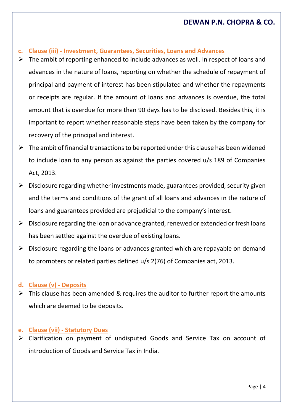#### **c. Clause (iii) - Investment, Guarantees, Securities, Loans and Advances**

- $\triangleright$  The ambit of reporting enhanced to include advances as well. In respect of loans and advances in the nature of loans, reporting on whether the schedule of repayment of principal and payment of interest has been stipulated and whether the repayments or receipts are regular. If the amount of loans and advances is overdue, the total amount that is overdue for more than 90 days has to be disclosed. Besides this, it is important to report whether reasonable steps have been taken by the company for recovery of the principal and interest.
- $\triangleright$  The ambit of financial transactions to be reported under this clause has been widened to include loan to any person as against the parties covered u/s 189 of Companies Act, 2013.
- $\triangleright$  Disclosure regarding whether investments made, guarantees provided, security given and the terms and conditions of the grant of all loans and advances in the nature of loans and guarantees provided are prejudicial to the company's interest.
- $\triangleright$  Disclosure regarding the loan or advance granted, renewed or extended or fresh loans has been settled against the overdue of existing loans.
- $\triangleright$  Disclosure regarding the loans or advances granted which are repayable on demand to promoters or related parties defined u/s 2(76) of Companies act, 2013.

#### **d. Clause (v) - Deposits**

 This clause has been amended & requires the auditor to further report the amounts which are deemed to be deposits.

#### **e. Clause (vii) - Statutory Dues**

 Clarification on payment of undisputed Goods and Service Tax on account of introduction of Goods and Service Tax in India.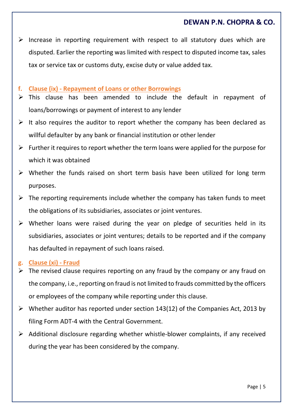- $\triangleright$  Increase in reporting requirement with respect to all statutory dues which are disputed. Earlier the reporting was limited with respect to disputed income tax, sales tax or service tax or customs duty, excise duty or value added tax.
- **f. Clause (ix) - Repayment of Loans or other Borrowings**
- $\triangleright$  This clause has been amended to include the default in repayment of loans/borrowings or payment of interest to any lender
- $\triangleright$  It also requires the auditor to report whether the company has been declared as willful defaulter by any bank or financial institution or other lender
- $\triangleright$  Further it requires to report whether the term loans were applied for the purpose for which it was obtained
- Whether the funds raised on short term basis have been utilized for long term purposes.
- $\triangleright$  The reporting requirements include whether the company has taken funds to meet the obligations of its subsidiaries, associates or joint ventures.
- $\triangleright$  Whether loans were raised during the year on pledge of securities held in its subsidiaries, associates or joint ventures; details to be reported and if the company has defaulted in repayment of such loans raised.

#### **g. Clause (xi) - Fraud**

- The revised clause requires reporting on any fraud by the company or any fraud on the company, i.e., reporting on fraud is not limited to frauds committed by the officers or employees of the company while reporting under this clause.
- $\triangleright$  Whether auditor has reported under section 143(12) of the Companies Act, 2013 by filing Form ADT-4 with the Central Government.
- $\triangleright$  Additional disclosure regarding whether whistle-blower complaints, if any received during the year has been considered by the company.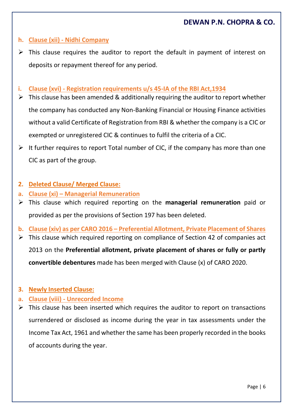#### **h. Clause (xii) - Nidhi Company**

- This clause requires the auditor to report the default in payment of interest on deposits or repayment thereof for any period.
- **i. Clause (xvi) - Registration requirements u/s 45-IA of the RBI Act,1934**
- $\triangleright$  This clause has been amended & additionally requiring the auditor to report whether the company has conducted any Non-Banking Financial or Housing Finance activities without a valid Certificate of Registration from RBI & whether the company is a CIC or exempted or unregistered CIC & continues to fulfil the criteria of a CIC.
- $\triangleright$  It further requires to report Total number of CIC, if the company has more than one CIC as part of the group.
- **2. Deleted Clause/ Merged Clause:**
- **a. Clause (xi) – Managerial Remuneration**
- This clause which required reporting on the **managerial remuneration** paid or provided as per the provisions of Section 197 has been deleted.
- **b. Clause (xiv) as per CARO 2016 – Preferential Allotment, Private Placement of Shares**
- $\triangleright$  This clause which required reporting on compliance of Section 42 of companies act 2013 on the **Preferential allotment, private placement of shares or fully or partly convertible debentures** made has been merged with Clause (x) of CARO 2020.
- **3. Newly Inserted Clause:**
- **a. Clause (viii) - Unrecorded Income**
- $\triangleright$  This clause has been inserted which requires the auditor to report on transactions surrendered or disclosed as income during the year in tax assessments under the Income Tax Act, 1961 and whether the same has been properly recorded in the books of accounts during the year.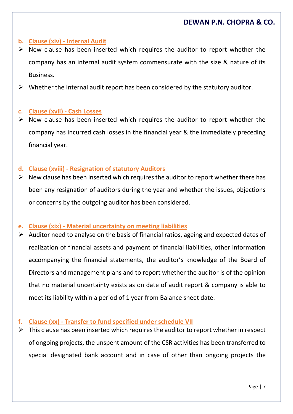#### **b. Clause (xiv) - Internal Audit**

- $\triangleright$  New clause has been inserted which requires the auditor to report whether the company has an internal audit system commensurate with the size & nature of its Business.
- $\triangleright$  Whether the Internal audit report has been considered by the statutory auditor.

#### **c. Clause (xvii) - Cash Losses**

 $\triangleright$  New clause has been inserted which requires the auditor to report whether the company has incurred cash losses in the financial year & the immediately preceding financial year.

#### **d. Clause (xviii) - Resignation of statutory Auditors**

 New clause has been inserted which requires the auditor to report whether there has been any resignation of auditors during the year and whether the issues, objections or concerns by the outgoing auditor has been considered.

#### **e. Clause (xix) - Material uncertainty on meeting liabilities**

 Auditor need to analyse on the basis of financial ratios, ageing and expected dates of realization of financial assets and payment of financial liabilities, other information accompanying the financial statements, the auditor's knowledge of the Board of Directors and management plans and to report whether the auditor is of the opinion that no material uncertainty exists as on date of audit report & company is able to meet its liability within a period of 1 year from Balance sheet date.

#### **f. Clause (xx) - Transfer to fund specified under schedule VII**

 $\triangleright$  This clause has been inserted which requires the auditor to report whether in respect of ongoing projects, the unspent amount of the CSR activities has been transferred to special designated bank account and in case of other than ongoing projects the